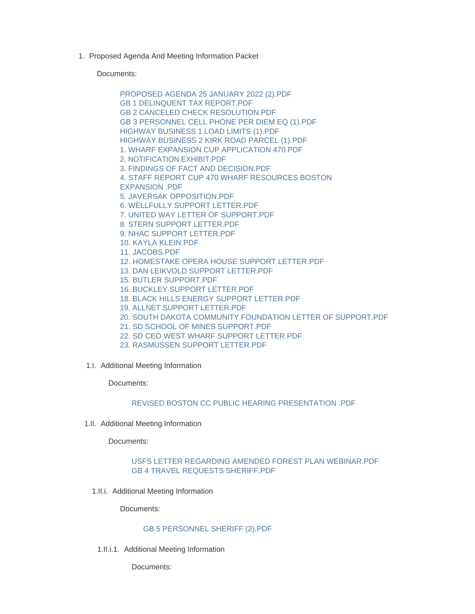1. Proposed Agenda And Meeting Information Packet

Documents:

[PROPOSED AGENDA 25 JANUARY 2022 \(2\).PDF](https://www.lawrence.sd.us/AgendaCenter/ViewFile/Item/553?fileID=7685) [GB 1 DELINQUENT TAX REPORT.PDF](https://www.lawrence.sd.us/AgendaCenter/ViewFile/Item/553?fileID=7655) [GB 2 CANCELED CHECK RESOLUTION.PDF](https://www.lawrence.sd.us/AgendaCenter/ViewFile/Item/553?fileID=7656) [GB 3 PERSONNEL CELL PHONE PER DIEM EQ \(1\).PDF](https://www.lawrence.sd.us/AgendaCenter/ViewFile/Item/553?fileID=7681) [HIGHWAY BUSINESS 1 LOAD LIMITS \(1\).PDF](https://www.lawrence.sd.us/AgendaCenter/ViewFile/Item/553?fileID=7684) [HIGHWAY BUSINESS 2 KIRK ROAD PARCEL \(1\).PDF](https://www.lawrence.sd.us/AgendaCenter/ViewFile/Item/553?fileID=7683) [1. WHARF EXPANSION CUP APPLICATION 470.PDF](https://www.lawrence.sd.us/AgendaCenter/ViewFile/Item/553?fileID=7657) [2. NOTIFICATION EXHIBIT.PDF](https://www.lawrence.sd.us/AgendaCenter/ViewFile/Item/553?fileID=7658) [3. FINDINGS OF FACT AND DECISION.PDF](https://www.lawrence.sd.us/AgendaCenter/ViewFile/Item/553?fileID=7659) [4. STAFF REPORT CUP 470 WHARF RESOURCES BOSTON](https://www.lawrence.sd.us/AgendaCenter/ViewFile/Item/553?fileID=7660)  EXPANSION .PDF [5. JAVERSAK OPPOSITION.PDF](https://www.lawrence.sd.us/AgendaCenter/ViewFile/Item/553?fileID=7661) [6. WELLFULLY SUPPORT LETTER.PDF](https://www.lawrence.sd.us/AgendaCenter/ViewFile/Item/553?fileID=7662) [7. UNITED WAY LETTER OF SUPPORT.PDF](https://www.lawrence.sd.us/AgendaCenter/ViewFile/Item/553?fileID=7663) [8. STERN SUPPORT LETTER.PDF](https://www.lawrence.sd.us/AgendaCenter/ViewFile/Item/553?fileID=7664) [9. NHAC SUPPORT LETTER.PDF](https://www.lawrence.sd.us/AgendaCenter/ViewFile/Item/553?fileID=7665) [10. KAYLA KLEIN.PDF](https://www.lawrence.sd.us/AgendaCenter/ViewFile/Item/553?fileID=7666) [11. JACOBS.PDF](https://www.lawrence.sd.us/AgendaCenter/ViewFile/Item/553?fileID=7667) [12. HOMESTAKE OPERA HOUSE SUPPORT LETTER.PDF](https://www.lawrence.sd.us/AgendaCenter/ViewFile/Item/553?fileID=7668) [13. DAN LEIKVOLD SUPPORT LETTER.PDF](https://www.lawrence.sd.us/AgendaCenter/ViewFile/Item/553?fileID=7669) [15. BUTLER SUPPORT.PDF](https://www.lawrence.sd.us/AgendaCenter/ViewFile/Item/553?fileID=7670) [16. BUCKLEY SUPPORT LETTER.PDF](https://www.lawrence.sd.us/AgendaCenter/ViewFile/Item/553?fileID=7671) [18. BLACK HILLS ENERGY SUPPORT LETTER.PDF](https://www.lawrence.sd.us/AgendaCenter/ViewFile/Item/553?fileID=7672) [19. ALLNET SUPPORT LETTER.PDF](https://www.lawrence.sd.us/AgendaCenter/ViewFile/Item/553?fileID=7673) [20. SOUTH DAKOTA COMMUNITY FOUNDATION LETTER OF SUPPORT.PDF](https://www.lawrence.sd.us/AgendaCenter/ViewFile/Item/553?fileID=7674)

- [21. SD SCHOOL OF MINES SUPPORT.PDF](https://www.lawrence.sd.us/AgendaCenter/ViewFile/Item/553?fileID=7675)
- [22. SD CEO WEST WHARF SUPPORT LETTER.PDF](https://www.lawrence.sd.us/AgendaCenter/ViewFile/Item/553?fileID=7676)
- [23. RASMUSSEN SUPPORT LETTER.PDF](https://www.lawrence.sd.us/AgendaCenter/ViewFile/Item/553?fileID=7677)
- 1.I. Additional Meeting Information

Documents:

## [REVISED BOSTON CC PUBLIC HEARING PRESENTATION .PDF](https://www.lawrence.sd.us/AgendaCenter/ViewFile/Item/561?fileID=7694)

1.II. Additional Meeting Information

Documents:

## [USFS LETTER REGARDING AMENDED FOREST PLAN WEBINAR.PDF](https://www.lawrence.sd.us/AgendaCenter/ViewFile/Item/556?fileID=7687) [GB 4 TRAVEL REQUESTS SHERIFF.PDF](https://www.lawrence.sd.us/AgendaCenter/ViewFile/Item/556?fileID=7688)

1.II.i. Additional Meeting Information

Documents:

## [GB 5 PERSONNEL SHERIFF \(2\).PDF](https://www.lawrence.sd.us/AgendaCenter/ViewFile/Item/557?fileID=7689)

1.II.i.1. Additional Meeting Information

Documents: